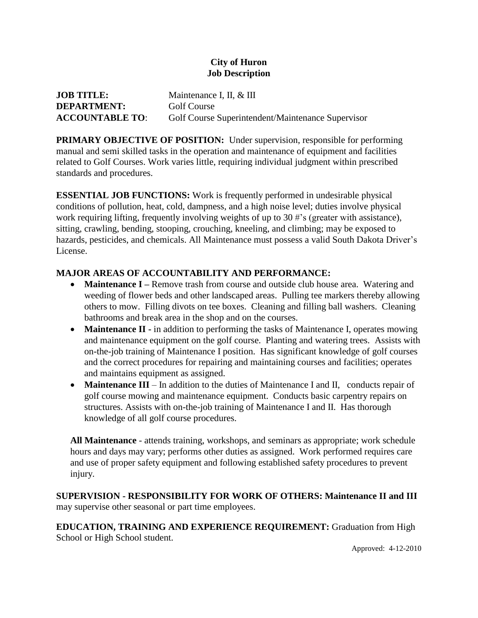## **City of Huron Job Description**

| <b>JOB TITLE:</b>      | Maintenance I, II, & III                          |
|------------------------|---------------------------------------------------|
| <b>DEPARTMENT:</b>     | Golf Course                                       |
| <b>ACCOUNTABLE TO:</b> | Golf Course Superintendent/Maintenance Supervisor |

**PRIMARY OBJECTIVE OF POSITION:** Under supervision, responsible for performing manual and semi skilled tasks in the operation and maintenance of equipment and facilities related to Golf Courses. Work varies little, requiring individual judgment within prescribed standards and procedures.

**ESSENTIAL JOB FUNCTIONS:** Work is frequently performed in undesirable physical conditions of pollution, heat, cold, dampness, and a high noise level; duties involve physical work requiring lifting, frequently involving weights of up to 30 #'s (greater with assistance), sitting, crawling, bending, stooping, crouching, kneeling, and climbing; may be exposed to hazards, pesticides, and chemicals. All Maintenance must possess a valid South Dakota Driver's License.

## **MAJOR AREAS OF ACCOUNTABILITY AND PERFORMANCE:**

- **Maintenance I** Remove trash from course and outside club house area. Watering and weeding of flower beds and other landscaped areas. Pulling tee markers thereby allowing others to mow. Filling divots on tee boxes. Cleaning and filling ball washers. Cleaning bathrooms and break area in the shop and on the courses.
- **Maintenance II -** in addition to performing the tasks of Maintenance I, operates mowing and maintenance equipment on the golf course. Planting and watering trees. Assists with on-the-job training of Maintenance I position. Has significant knowledge of golf courses and the correct procedures for repairing and maintaining courses and facilities; operates and maintains equipment as assigned.
- **Maintenance III** In addition to the duties of Maintenance I and II, conducts repair of golf course mowing and maintenance equipment. Conducts basic carpentry repairs on structures. Assists with on-the-job training of Maintenance I and II. Has thorough knowledge of all golf course procedures.

**All Maintenance** - attends training, workshops, and seminars as appropriate; work schedule hours and days may vary; performs other duties as assigned. Work performed requires care and use of proper safety equipment and following established safety procedures to prevent injury.

**SUPERVISION - RESPONSIBILITY FOR WORK OF OTHERS: Maintenance II and III**  may supervise other seasonal or part time employees.

**EDUCATION, TRAINING AND EXPERIENCE REQUIREMENT:** Graduation from High School or High School student.

Approved: 4-12-2010